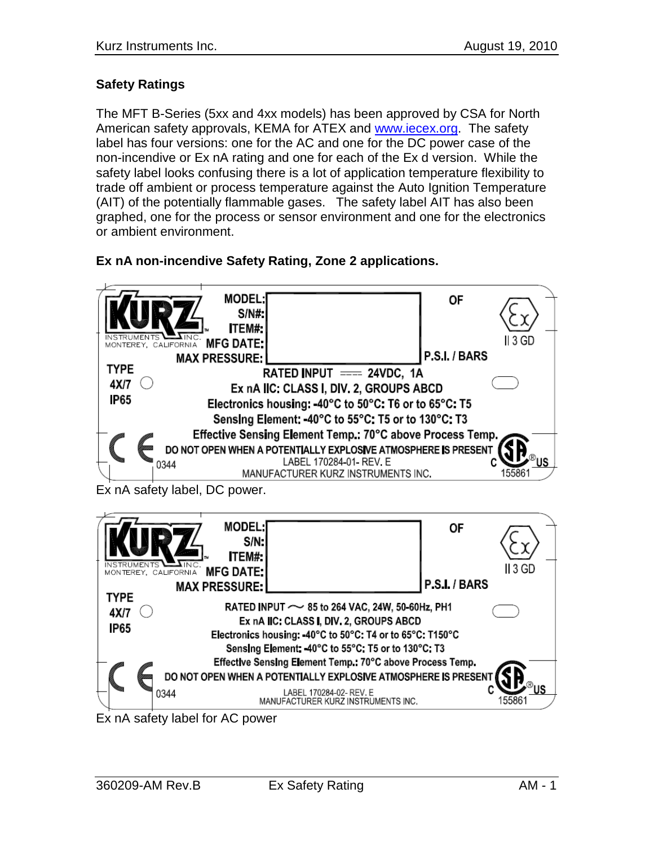## **Safety Ratings**

The MFT B-Series (5xx and 4xx models) has been approved by CSA for North American safety approvals, KEMA for ATEX and [www.iecex.org.](http://www.iecex.org/) The safety label has four versions: one for the AC and one for the DC power case of the non-incendive or Ex nA rating and one for each of the Ex d version. While the safety label looks confusing there is a lot of application temperature flexibility to trade off ambient or process temperature against the Auto Ignition Temperature (AIT) of the potentially flammable gases. The safety label AIT has also been graphed, one for the process or sensor environment and one for the electronics or ambient environment.

## **Ex nA non-incendive Safety Rating, Zone 2 applications.**



Ex nA safety label for AC power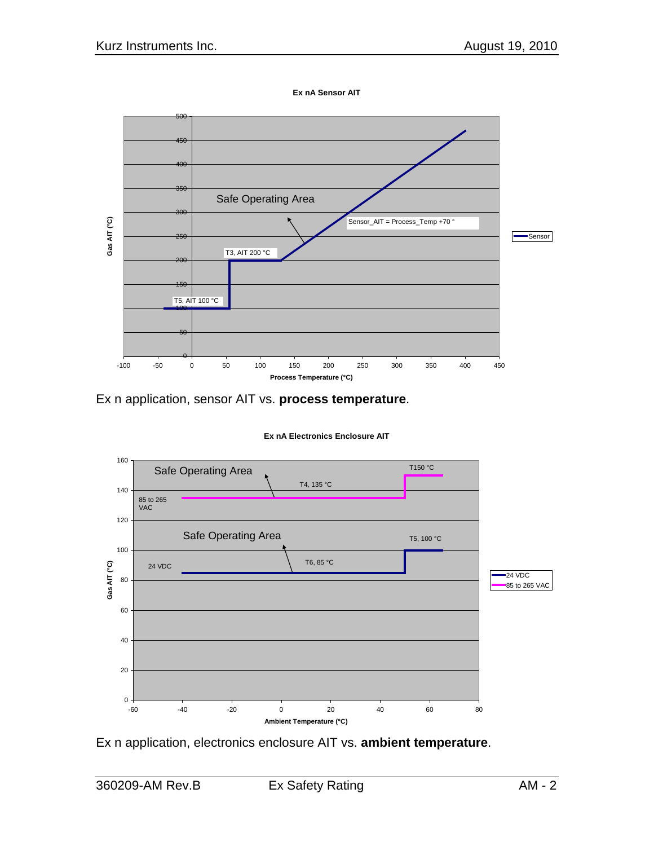

Ex n application, sensor AIT vs. **process temperature**.



Ex n application, electronics enclosure AIT vs. **ambient temperature**.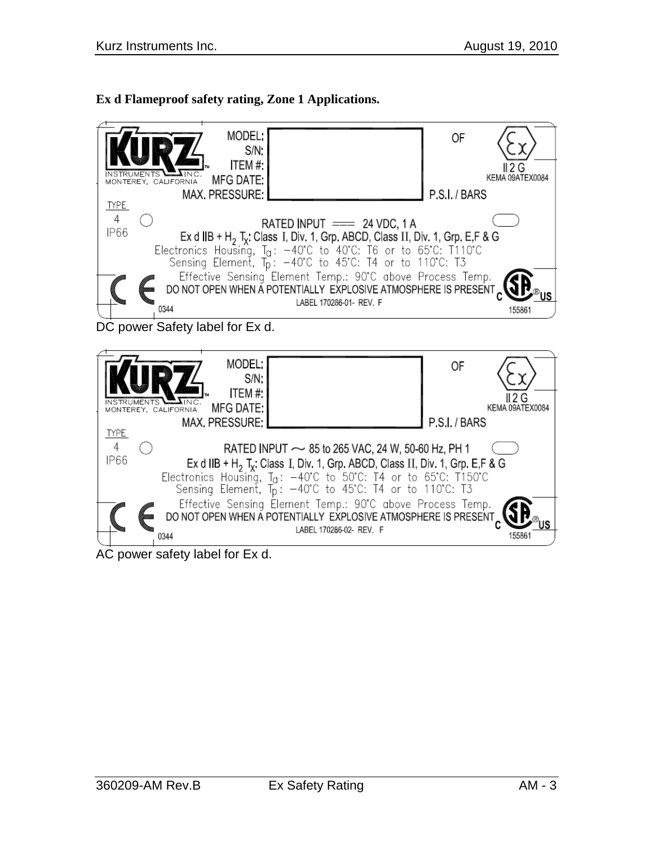## **Ex d Flameproof safety rating, Zone 1 Applications.**



AC power safety label for Ex d.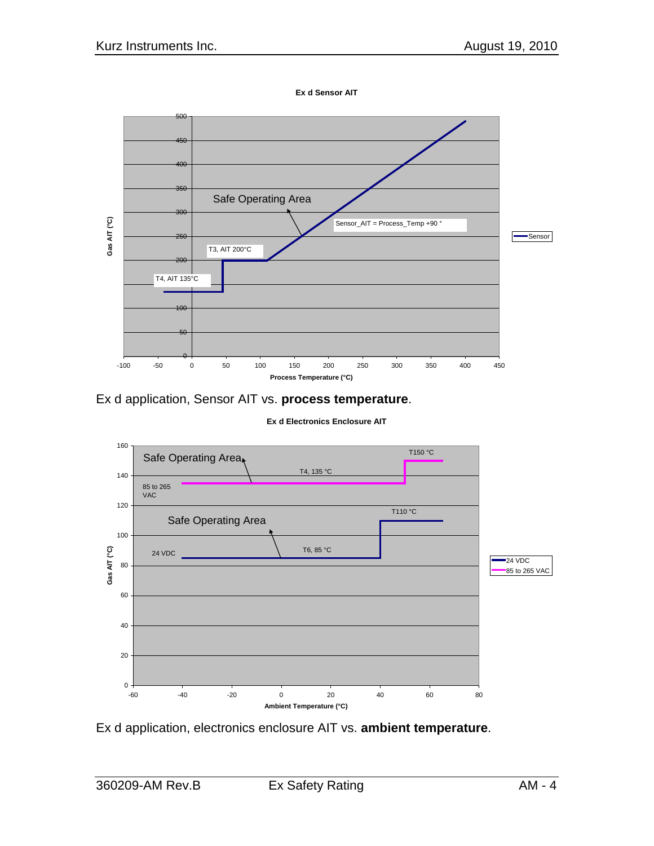**Ex d Sensor AIT**



Ex d application, Sensor AIT vs. **process temperature**.

**Ex d Electronics Enclosure AIT**



Ex d application, electronics enclosure AIT vs. **ambient temperature**.